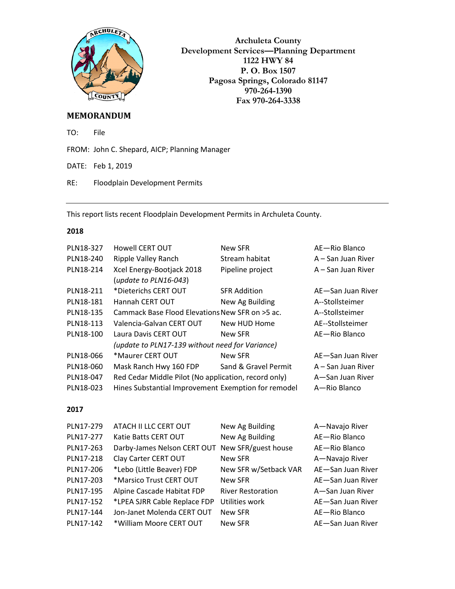

**Archuleta County Development Services—Planning Department 1122 HWY 84 P. O. Box 1507 Pagosa Springs, Colorado 81147 970-264-1390 Fax 970-264-3338**

## **MEMORANDUM**

TO: File

FROM: John C. Shepard, AICP; Planning Manager

DATE: Feb 1, 2019

RE: Floodplain Development Permits

This report lists recent Floodplain Development Permits in Archuleta County.

## **2018**

| PLN18-327 | Howell CERT OUT                                      | New SFR              | AE-Rio Blanco      |
|-----------|------------------------------------------------------|----------------------|--------------------|
| PLN18-240 | Ripple Valley Ranch                                  | Stream habitat       | A – San Juan River |
| PLN18-214 | Xcel Energy-Bootjack 2018                            | Pipeline project     | A – San Juan River |
|           | (update to $PLN16-043$ )                             |                      |                    |
| PLN18-211 | *Dieterichs CERT OUT                                 | <b>SFR Addition</b>  | AE-San Juan River  |
| PLN18-181 | Hannah CERT OUT                                      | New Ag Building      | A--Stollsteimer    |
| PLN18-135 | Cammack Base Flood Elevations New SFR on >5 ac.      |                      | A--Stollsteimer    |
| PLN18-113 | Valencia-Galvan CERT OUT                             | New HUD Home         | AE--Stollsteimer   |
| PLN18-100 | Laura Davis CERT OUT                                 | New SFR              | AE-Rio Blanco      |
|           | (update to PLN17-139 without need for Variance)      |                      |                    |
| PLN18-066 | *Maurer CERT OUT                                     | New SFR              | AE-San Juan River  |
| PLN18-060 | Mask Ranch Hwy 160 FDP                               | Sand & Gravel Permit | A – San Juan River |
| PLN18-047 | Red Cedar Middle Pilot (No application, record only) |                      | A-San Juan River   |
| PLN18-023 | Hines Substantial Improvement Exemption for remodel  |                      | A-Rio Blanco       |
|           |                                                      |                      |                    |

## **2017**

| PLN17-279 | ATACH II LLC CERT OUT                           | New Ag Building          | A-Navajo River    |
|-----------|-------------------------------------------------|--------------------------|-------------------|
| PLN17-277 | Katie Batts CERT OUT                            | New Ag Building          | AE-Rio Blanco     |
| PLN17-263 | Darby-James Nelson CERT OUT New SFR/guest house |                          | AE-Rio Blanco     |
| PLN17-218 | Clay Carter CERT OUT                            | New SFR                  | A-Navajo River    |
| PLN17-206 | *Lebo (Little Beaver) FDP                       | New SFR w/Setback VAR    | AE-San Juan River |
| PLN17-203 | *Marsico Trust CERT OUT                         | New SFR                  | AE-San Juan River |
| PLN17-195 | Alpine Cascade Habitat FDP                      | <b>River Restoration</b> | A-San Juan River  |
| PLN17-152 | *LPEA SJRR Cable Replace FDP                    | Utilities work           | AE-San Juan River |
| PLN17-144 | Jon-Janet Molenda CERT OUT                      | New SFR                  | AE-Rio Blanco     |
| PLN17-142 | *William Moore CERT OUT                         | New SFR                  | AE-San Juan River |
|           |                                                 |                          |                   |